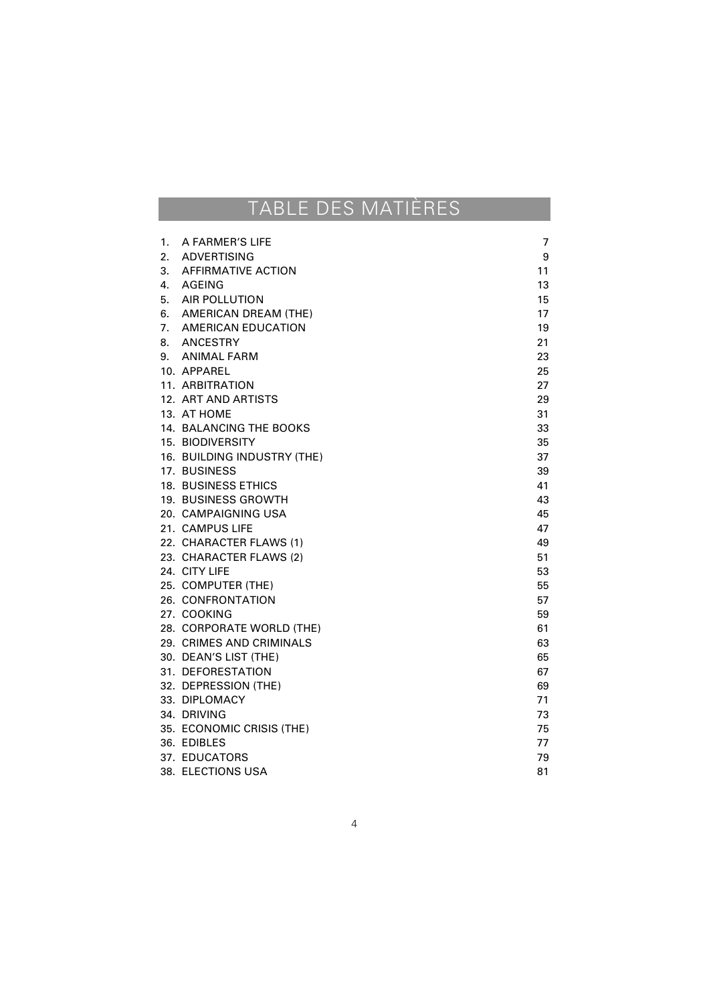## TABLE DES MATIÈRES

| 1. | A FARMER'S LIFE             | 7  |
|----|-----------------------------|----|
|    | 2. ADVERTISING              | 9  |
|    | 3. AFFIRMATIVE ACTION       | 11 |
|    | 4. AGEING                   | 13 |
|    | 5. AIR POLLUTION            | 15 |
|    | 6. AMERICAN DREAM (THE)     | 17 |
|    | 7. AMERICAN EDUCATION       | 19 |
|    | 8. ANCESTRY                 | 21 |
|    | 9. ANIMAL FARM              | 23 |
|    | 10. APPAREL                 | 25 |
|    | 11. ARBITRATION             | 27 |
|    | 12. ART AND ARTISTS         | 29 |
|    | 13. AT HOME                 | 31 |
|    | 14. BALANCING THE BOOKS     | 33 |
|    | 15. BIODIVERSITY            | 35 |
|    | 16. BUILDING INDUSTRY (THE) | 37 |
|    | 17. BUSINESS                | 39 |
|    | 18. BUSINESS ETHICS         | 41 |
|    | 19. BUSINESS GROWTH         | 43 |
|    | 20. CAMPAIGNING USA         | 45 |
|    | 21. CAMPUS LIFE             | 47 |
|    | 22. CHARACTER FLAWS (1)     | 49 |
|    | 23. CHARACTER FLAWS (2)     | 51 |
|    | 24. CITY LIFE               | 53 |
|    | 25. COMPUTER (THE)          | 55 |
|    | 26. CONFRONTATION           | 57 |
|    | 27. COOKING                 | 59 |
|    | 28. CORPORATE WORLD (THE)   | 61 |
|    | 29. CRIMES AND CRIMINALS    | 63 |
|    | 30. DEAN'S LIST (THE)       | 65 |
|    | 31. DEFORESTATION           | 67 |
|    | 32. DEPRESSION (THE)        | 69 |
|    | 33. DIPLOMACY               | 71 |
|    | 34. DRIVING                 | 73 |
|    | 35. ECONOMIC CRISIS (THE)   | 75 |
|    | 36. EDIBLES                 | 77 |
|    | 37. EDUCATORS               | 79 |
|    | 38. ELECTIONS USA           | 81 |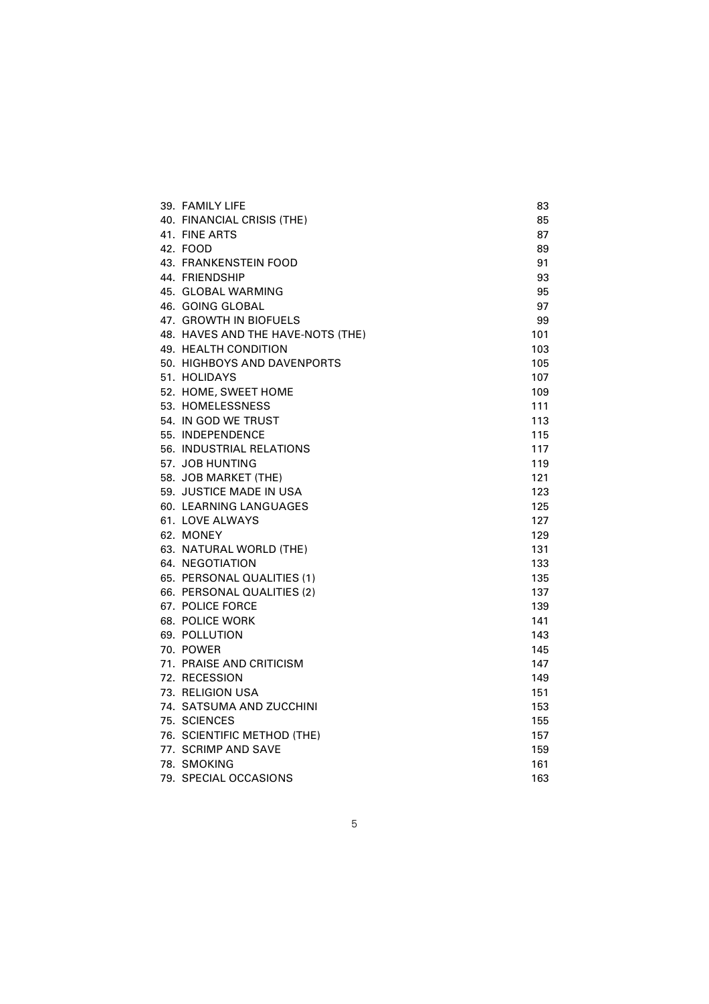| 39. FAMILY LIFE                   | 83  |
|-----------------------------------|-----|
| 40. FINANCIAL CRISIS (THE)        | 85  |
| 41. FINE ARTS                     | 87  |
| 42. FOOD                          | 89  |
| 43. FRANKENSTEIN FOOD             | 91  |
| 44. FRIENDSHIP                    | 93  |
| 45. GLOBAL WARMING                | 95  |
| 46. GOING GLOBAL                  | 97  |
| 47. GROWTH IN BIOFUELS            | 99  |
| 48. HAVES AND THE HAVE-NOTS (THE) | 101 |
| 49. HEALTH CONDITION              | 103 |
| 50. HIGHBOYS AND DAVENPORTS       | 105 |
| 51. HOLIDAYS                      | 107 |
| 52. HOME, SWEET HOME              | 109 |
| 53. HOMELESSNESS                  | 111 |
| 54. IN GOD WE TRUST               | 113 |
| 55. INDEPENDENCE                  | 115 |
| 56. INDUSTRIAL RELATIONS          | 117 |
| 57. JOB HUNTING                   | 119 |
| 58. JOB MARKET (THE)              | 121 |
| 59. JUSTICE MADE IN USA           | 123 |
| 60. LEARNING LANGUAGES            | 125 |
| 61. LOVE ALWAYS                   | 127 |
| 62. MONEY                         | 129 |
| 63. NATURAL WORLD (THE)           | 131 |
| 64. NEGOTIATION                   | 133 |
| 65. PERSONAL QUALITIES (1)        | 135 |
| 66. PERSONAL QUALITIES (2)        | 137 |
| 67. POLICE FORCE                  | 139 |
| 68. POLICE WORK                   | 141 |
| 69. POLLUTION                     | 143 |
| 70. POWER                         | 145 |
| 71. PRAISE AND CRITICISM          | 147 |
| 72. RECESSION                     | 149 |
| 73. RELIGION USA                  | 151 |
| 74. SATSUMA AND ZUCCHINI          | 153 |
| 75. SCIENCES                      | 155 |
| 76. SCIENTIFIC METHOD (THE)       | 157 |
| 77. SCRIMP AND SAVE               | 159 |
| 78. SMOKING                       | 161 |
| 79. SPECIAL OCCASIONS             | 163 |